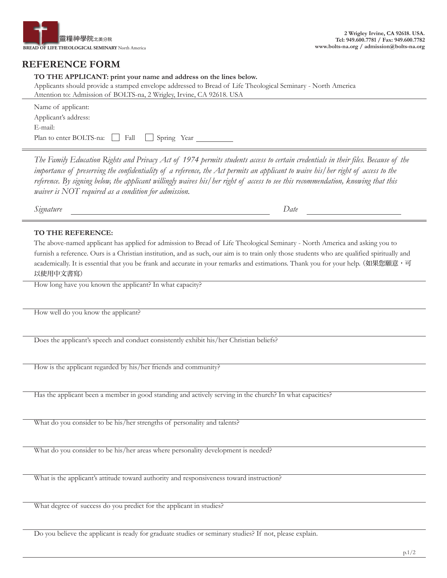

## **REFERENCE FORM**

## **TO THE APPLICANT: print your name and address on the lines below.**

Applicants should provide a stamped envelope addressed to Bread of Life Theological Seminary - North America Attention to: Admission of BOLTS-na, 2 Wrigley, Irvine, CA 92618. USA

| Name of applicant:                               |  |
|--------------------------------------------------|--|
| Applicant's address:                             |  |
| E-mail:                                          |  |
| Plan to enter BOLTS-na:     Fall     Spring Year |  |

*The Family Education Rights and Privacy Act of 1974 permits students access to certain credentials in their files. Because of the importance of preserving the confidentiality of a reference, the Act permits an applicant to waive his/her right of access to the reference. By signing below, the applicant willingly waives his/her right of access to see this recommendation, knowing that this waiver is NOT required as a condition for admission.*

*Signature Date*

## **TO THE REFERENCE:**

The above-named applicant has applied for admission to Bread of Life Theological Seminary - North America and asking you to furnish a reference. Ours is a Christian institution, and as such, our aim is to train only those students who are qualified spiritually and academically. It is essential that you be frank and accurate in your remarks and estimations. Thank you for your help. (如果您願意,可 以使用中文書寫)

How long have you known the applicant? In what capacity?

How well do you know the applicant?

Does the applicant's speech and conduct consistently exhibit his/her Christian beliefs?

How is the applicant regarded by his/her friends and community?

Has the applicant been a member in good standing and actively serving in the church? In what capacities?

What do you consider to be his/her strengths of personality and talents?

What do you consider to be his/her areas where personality development is needed?

What is the applicant's attitude toward authority and responsiveness toward instruction?

What degree of success do you predict for the applicant in studies?

Do you believe the applicant is ready for graduate studies or seminary studies? If not, please explain.